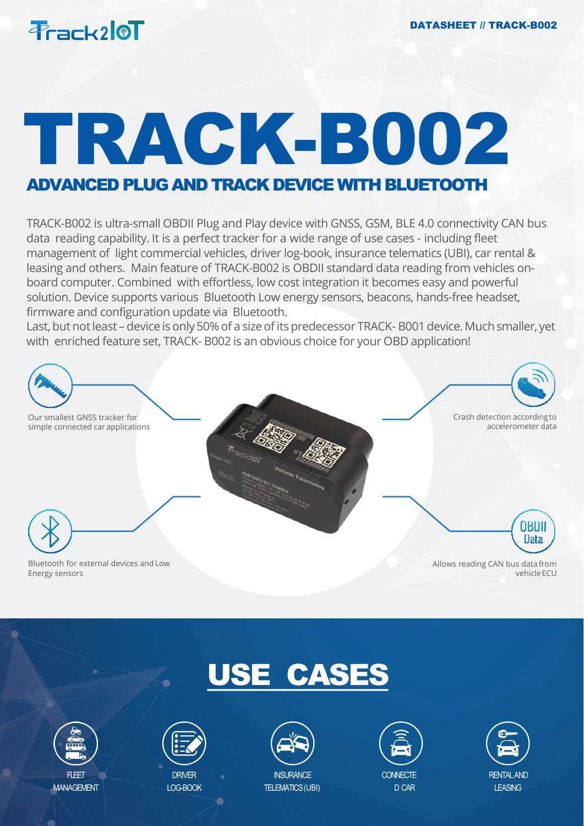

# TRACK-B002

### ADVANCED PLUG AND TRACK DEVICE WITH BLUETOOTH

TRACK-B002 is ultra-small OBDII Plug and Play device with GNSS, GSM, BLE 4.0 connectivity CAN bus data reading capability. It is a perfect tracker for a wide range of use cases - including fleet management of light commercial vehicles, driver log-book, insurance telematics (UBI), car rental & leasing and others. Main feature of TRACK-B002 is OBDII standard data reading from vehicles onboard computer. Combined with effortless, low cost integration it becomes easy and powerful solution. Device supports various Bluetooth Low energy sensors, beacons, hands-free headset, firmware and configuration update via Bluetooth.

Last, but not least – device is only 50% of a size of its predecessor TRACK- B001 device. Much smaller, yet with enriched feature set, TRACK- B002 is an obvious choice for your OBD application!









LOG-BOOK



TELEMATICS(UBI)



**CONNECTE** D CAR

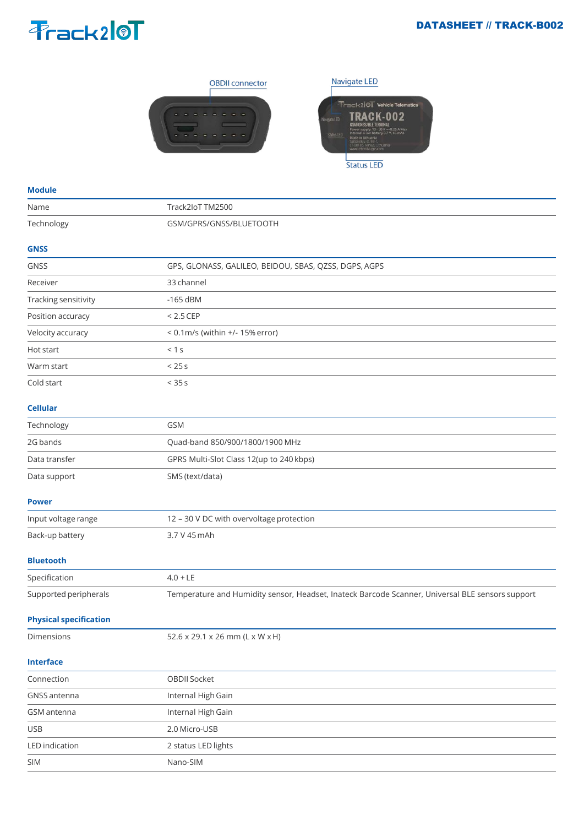#### DATASHEET // TRACK-B002

## Prack210T





#### **Module**

| Name                 | Track2IoT TM2500                                      |
|----------------------|-------------------------------------------------------|
| Technology           | GSM/GPRS/GNSS/BLUETOOTH                               |
| <b>GNSS</b>          |                                                       |
| <b>GNSS</b>          | GPS, GLONASS, GALILEO, BEIDOU, SBAS, QZSS, DGPS, AGPS |
| Receiver             | 33 channel                                            |
| Tracking sensitivity | $-165$ dBM                                            |
| Position accuracy    | $< 2.5$ CEP                                           |
| Velocity accuracy    | $< 0.1$ m/s (within $+/- 15%$ error)                  |
| Hot start            | < 1 s                                                 |
| Warm start           | < 25s                                                 |
| Cold start           | < 35s                                                 |
| <b>Cellular</b>      |                                                       |
| Technology           | <b>GSM</b>                                            |
| 2G bands             | Quad-band 850/900/1800/1900 MHz                       |
| Data transfer        | GPRS Multi-Slot Class 12(up to 240 kbps)              |

#### **Power**

| Input voltage range | 12 – 30 V DC with overvoltage protection |
|---------------------|------------------------------------------|
| Back-up battery     | 3.7 V 45 mAh                             |

#### **Bluetooth**

| Specification         | $4.0 + LE$                                                                                       |
|-----------------------|--------------------------------------------------------------------------------------------------|
| Supported peripherals | Temperature and Humidity sensor, Headset, Inateck Barcode Scanner, Universal BLE sensors support |

#### **Physical specification**

Data support SMS (text/data)

| Dimensions |  |
|------------|--|
|            |  |

 $52.6 \times 29.1 \times 26$  mm (L x W x H)

#### **Interface**

| -----------           |                     |  |
|-----------------------|---------------------|--|
| Connection            | OBDII Socket        |  |
| GNSS antenna          | Internal High Gain  |  |
| GSM antenna           | Internal High Gain  |  |
| <b>USB</b>            | 2.0 Micro-USB       |  |
| <b>LED</b> indication | 2 status LED lights |  |
| <b>SIM</b>            | Nano-SIM            |  |
|                       |                     |  |